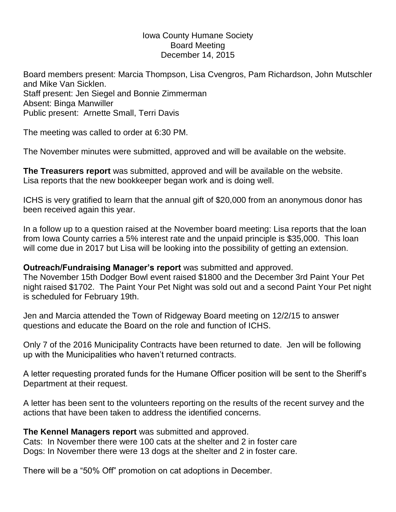#### Iowa County Humane Society Board Meeting December 14, 2015

Board members present: Marcia Thompson, Lisa Cvengros, Pam Richardson, John Mutschler and Mike Van Sicklen. Staff present: Jen Siegel and Bonnie Zimmerman Absent: Binga Manwiller Public present: Arnette Small, Terri Davis

The meeting was called to order at 6:30 PM.

The November minutes were submitted, approved and will be available on the website.

**The Treasurers report** was submitted, approved and will be available on the website. Lisa reports that the new bookkeeper began work and is doing well.

ICHS is very gratified to learn that the annual gift of \$20,000 from an anonymous donor has been received again this year.

In a follow up to a question raised at the November board meeting: Lisa reports that the loan from Iowa County carries a 5% interest rate and the unpaid principle is \$35,000. This loan will come due in 2017 but Lisa will be looking into the possibility of getting an extension.

## **Outreach/Fundraising Manager's report** was submitted and approved.

The November 15th Dodger Bowl event raised \$1800 and the December 3rd Paint Your Pet night raised \$1702. The Paint Your Pet Night was sold out and a second Paint Your Pet night is scheduled for February 19th.

Jen and Marcia attended the Town of Ridgeway Board meeting on 12/2/15 to answer questions and educate the Board on the role and function of ICHS.

Only 7 of the 2016 Municipality Contracts have been returned to date. Jen will be following up with the Municipalities who haven't returned contracts.

A letter requesting prorated funds for the Humane Officer position will be sent to the Sheriff's Department at their request.

A letter has been sent to the volunteers reporting on the results of the recent survey and the actions that have been taken to address the identified concerns.

# **The Kennel Managers report** was submitted and approved.

Cats: In November there were 100 cats at the shelter and 2 in foster care Dogs: In November there were 13 dogs at the shelter and 2 in foster care.

There will be a "50% Off" promotion on cat adoptions in December.